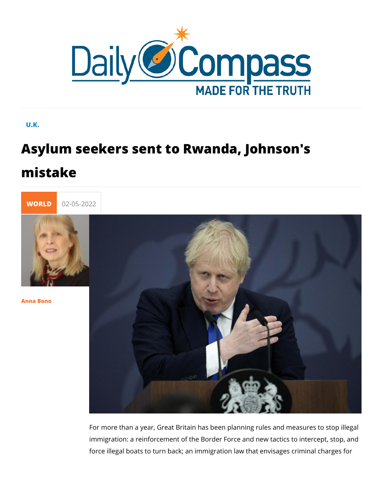## U.K.

# Asylum seekers sent to Rwanda, Johns mistake



[Anna Bo](/en/anna-bono)no

For more than a year, Great Britain has been planning rules and measures to stop in measures to measure to stop immigration: a reinforcement of the Border Force and new tact force illegal boats to turn back; an immigration law that envisation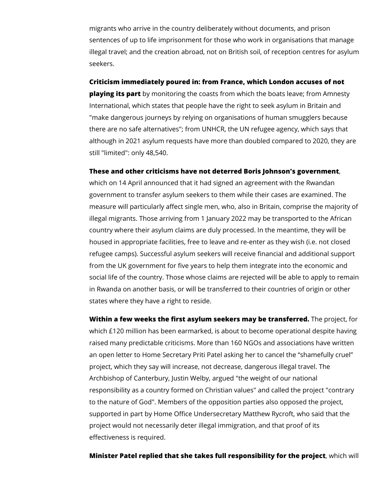migrants who arrive in the country deliberately without documents, and prison sentences of up to life imprisonment for those who work in organisations that manage illegal travel; and the creation abroad, not on British soil, of reception centres for asylum seekers.

**Criticism immediately poured in: from France, which London accuses of not** 

**playing its part** by monitoring the coasts from which the boats leave; from Amnesty International, which states that people have the right to seek asylum in Britain and "make dangerous journeys by relying on organisations of human smugglers because there are no safe alternatives"; from UNHCR, the UN refugee agency, which says that although in 2021 asylum requests have more than doubled compared to 2020, they are still "limited": only 48,540.

#### **These and other criticisms have not deterred Boris Johnson's government**,

which on 14 April announced that it had signed an agreement with the Rwandan government to transfer asylum seekers to them while their cases are examined. The measure will particularly affect single men, who, also in Britain, comprise the majority of illegal migrants. Those arriving from 1 January 2022 may be transported to the African country where their asylum claims are duly processed. In the meantime, they will be housed in appropriate facilities, free to leave and re-enter as they wish (i.e. not closed refugee camps). Successful asylum seekers will receive financial and additional support from the UK government for five years to help them integrate into the economic and social life of the country. Those whose claims are rejected will be able to apply to remain in Rwanda on another basis, or will be transferred to their countries of origin or other states where they have a right to reside.

**Within a few weeks the first asylum seekers may be transferred.** The project, for which £120 million has been earmarked, is about to become operational despite having raised many predictable criticisms. More than 160 NGOs and associations have written an open letter to Home Secretary Priti Patel asking her to cancel the "shamefully cruel" project, which they say will increase, not decrease, dangerous illegal travel. The Archbishop of Canterbury, Justin Welby, argued "the weight of our national responsibility as a country formed on Christian values" and called the project "contrary to the nature of God". Members of the opposition parties also opposed the project, supported in part by Home Office Undersecretary Matthew Rycroft, who said that the project would not necessarily deter illegal immigration, and that proof of its effectiveness is required.

### **Minister Patel replied that she takes full responsibility for the project**, which will